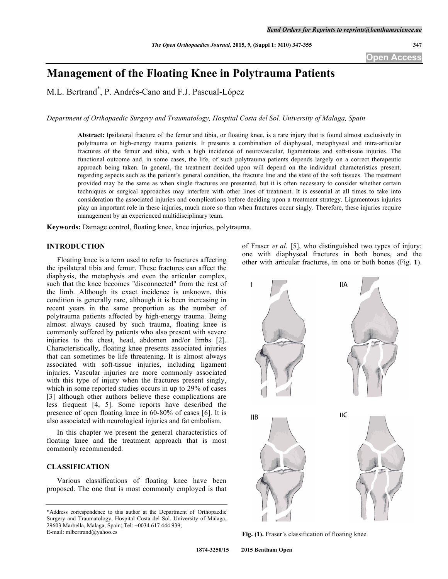# **Management of the Floating Knee in Polytrauma Patients**

M.L. Bertrand\* , P. Andrés-Cano and F.J. Pascual-López

*Department of Orthopaedic Surgery and Traumatology, Hospital Costa del Sol. University of Malaga, Spain*

**Abstract:** Ipsilateral fracture of the femur and tibia, or floating knee, is a rare injury that is found almost exclusively in polytrauma or high-energy trauma patients. It presents a combination of diaphyseal, metaphyseal and intra-articular fractures of the femur and tibia, with a high incidence of neurovascular, ligamentous and soft-tissue injuries. The functional outcome and, in some cases, the life, of such polytrauma patients depends largely on a correct therapeutic approach being taken. In general, the treatment decided upon will depend on the individual characteristics present, regarding aspects such as the patient's general condition, the fracture line and the state of the soft tissues. The treatment provided may be the same as when single fractures are presented, but it is often necessary to consider whether certain techniques or surgical approaches may interfere with other lines of treatment. It is essential at all times to take into consideration the associated injuries and complications before deciding upon a treatment strategy. Ligamentous injuries play an important role in these injuries, much more so than when fractures occur singly. Therefore, these injuries require management by an experienced multidisciplinary team.

**Keywords:** Damage control, floating knee, knee injuries, polytrauma.

### **INTRODUCTION**

Floating knee is a term used to refer to fractures affecting the ipsilateral tibia and femur. These fractures can affect the diaphysis, the metaphysis and even the articular complex, such that the knee becomes "disconnected" from the rest of the limb. Although its exact incidence is unknown, this condition is generally rare, although it is been increasing in recent years in the same proportion as the number of polytrauma patients affected by high-energy trauma. Being almost always caused by such trauma, floating knee is commonly suffered by patients who also present with severe injuries to the chest, head, abdomen and/or limbs [2]. Characteristically, floating knee presents associated injuries that can sometimes be life threatening. It is almost always associated with soft-tissue injuries, including ligament injuries. Vascular injuries are more commonly associated with this type of injury when the fractures present singly, which in some reported studies occurs in up to 29% of cases [3] although other authors believe these complications are less frequent [4, 5]. Some reports have described the presence of open floating knee in 60-80% of cases [6]. It is also associated with neurological injuries and fat embolism.

In this chapter we present the general characteristics of floating knee and the treatment approach that is most commonly recommended.

# **CLASSIFICATION**

Various classifications of floating knee have been proposed. The one that is most commonly employed is that of Fraser *et al*. [5], who distinguished two types of injury; one with diaphyseal fractures in both bones, and the other with articular fractures, in one or both bones (Fig. **1**).



**Fig. (1).** Fraser's classification of floating knee.

<sup>\*</sup>Address correspondence to this author at the Department of Orthopaedic Surgery and Traumatology, Hospital Costa del Sol. University of Málaga, 29603 Marbella, Malaga, Spain; Tel: +0034 617 444 939; E-mail: mlbertrand@yahoo.es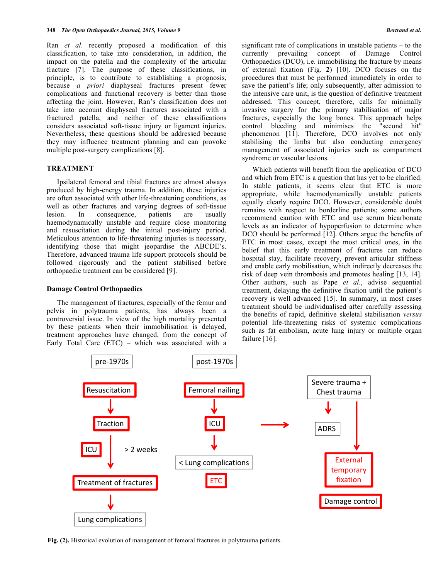Ran *et al*. recently proposed a modification of this classification, to take into consideration, in addition, the impact on the patella and the complexity of the articular fracture [7]. The purpose of these classifications, in principle, is to contribute to establishing a prognosis, because *a priori* diaphyseal fractures present fewer complications and functional recovery is better than those affecting the joint. However, Ran's classification does not take into account diaphyseal fractures associated with a fractured patella, and neither of these classifications considers associated soft-tissue injury or ligament injuries. Nevertheless, these questions should be addressed because they may influence treatment planning and can provoke multiple post-surgery complications [8].

# **TREATMENT**

Ipsilateral femoral and tibial fractures are almost always produced by high-energy trauma. In addition, these injuries are often associated with other life-threatening conditions, as well as other fractures and varying degrees of soft-tissue lesion. In consequence, patients are usually haemodynamically unstable and require close monitoring and resuscitation during the initial post-injury period. Meticulous attention to life-threatening injuries is necessary, identifying those that might jeopardise the ABCDE's. Therefore, advanced trauma life support protocols should be followed rigorously and the patient stabilised before orthopaedic treatment can be considered [9].

#### **Damage Control Orthopaedics**

The management of fractures, especially of the femur and pelvis in polytrauma patients, has always been a controversial issue. In view of the high mortality presented by these patients when their immobilisation is delayed, treatment approaches have changed, from the concept of Early Total Care (ETC) – which was associated with a

significant rate of complications in unstable patients – to the currently prevailing concept of Damage Control Orthopaedics (DCO), i.e. immobilising the fracture by means of external fixation (Fig. **2**) [10]. DCO focuses on the procedures that must be performed immediately in order to save the patient's life; only subsequently, after admission to the intensive care unit, is the question of definitive treatment addressed. This concept, therefore, calls for minimally invasive surgery for the primary stabilisation of major fractures, especially the long bones. This approach helps control bleeding and minimises the "second hit" phenomenon [11]. Therefore, DCO involves not only stabilising the limbs but also conducting emergency management of associated injuries such as compartment syndrome or vascular lesions.

Which patients will benefit from the application of DCO and which from ETC is a question that has yet to be clarified. In stable patients, it seems clear that ETC is more appropriate, while haemodynamically unstable patients equally clearly require DCO. However, considerable doubt remains with respect to borderline patients; some authors recommend caution with ETC and use serum bicarbonate levels as an indicator of hypoperfusion to determine when DCO should be performed [12]. Others argue the benefits of ETC in most cases, except the most critical ones, in the belief that this early treatment of fractures can reduce hospital stay, facilitate recovery, prevent articular stiffness and enable early mobilisation, which indirectly decreases the risk of deep vein thrombosis and promotes healing [13, 14]. Other authors, such as Pape *et al*., advise sequential treatment, delaying the definitive fixation until the patient's recovery is well advanced [15]. In summary, in most cases treatment should be individualised after carefully assessing the benefits of rapid, definitive skeletal stabilisation *versus* potential life-threatening risks of systemic complications such as fat embolism, acute lung injury or multiple organ failure [16].



**Fig. (2).** Historical evolution of management of femoral fractures in polytrauma patients.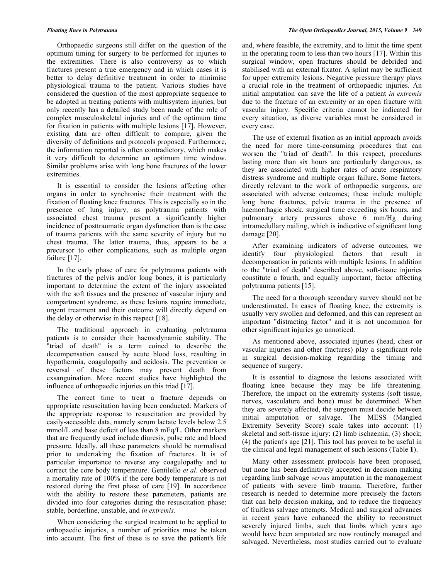Orthopaedic surgeons still differ on the question of the optimum timing for surgery to be performed for injuries to the extremities. There is also controversy as to which fractures present a true emergency and in which cases it is better to delay definitive treatment in order to minimise physiological trauma to the patient. Various studies have considered the question of the most appropriate sequence to be adopted in treating patients with multisystem injuries, but only recently has a detailed study been made of the role of complex musculoskeletal injuries and of the optimum time for fixation in patients with multiple lesions [17]. However, existing data are often difficult to compare, given the diversity of definitions and protocols proposed. Furthermore, the information reported is often contradictory, which makes it very difficult to determine an optimum time window. Similar problems arise with long bone fractures of the lower extremities.

It is essential to consider the lesions affecting other organs in order to synchronise their treatment with the fixation of floating knee fractures. This is especially so in the presence of lung injury, as polytrauma patients with associated chest trauma present a significantly higher incidence of posttraumatic organ dysfunction than is the case of trauma patients with the same severity of injury but no chest trauma. The latter trauma, thus, appears to be a precursor to other complications, such as multiple organ failure [17].

In the early phase of care for polytrauma patients with fractures of the pelvis and/or long bones, it is particularly important to determine the extent of the injury associated with the soft tissues and the presence of vascular injury and compartment syndrome, as these lesions require immediate, urgent treatment and their outcome will directly depend on the delay or otherwise in this respect [18].

The traditional approach in evaluating polytrauma patients is to consider their haemodynamic stability. The "triad of death" is a term coined to describe the decompensation caused by acute blood loss, resulting in hypothermia, coagulopathy and acidosis. The prevention or reversal of these factors may prevent death from exsanguination. More recent studies have highlighted the influence of orthopaedic injuries on this triad [17].

The correct time to treat a fracture depends on appropriate resuscitation having been conducted. Markers of the appropriate response to resuscitation are provided by easily-accessible data, namely serum lactate levels below 2.5 mmol/L and base deficit of less than 8 mEq/L. Other markers that are frequently used include diuresis, pulse rate and blood pressure. Ideally, all these parameters should be normalised prior to undertaking the fixation of fractures. It is of particular importance to reverse any coagulopathy and to correct the core body temperature. Gentilello *et al*. observed a mortality rate of 100% if the core body temperature is not restored during the first phase of care [19]. In accordance with the ability to restore these parameters, patients are divided into four categories during the resuscitation phase: stable, borderline, unstable, and *in extremis*.

When considering the surgical treatment to be applied to orthopaedic injuries, a number of priorities must be taken into account. The first of these is to save the patient's life

and, where feasible, the extremity, and to limit the time spent in the operating room to less than two hours [17]. Within this surgical window, open fractures should be debrided and stabilised with an external fixator. A splint may be sufficient for upper extremity lesions. Negative pressure therapy plays a crucial role in the treatment of orthopaedic injuries. An initial amputation can save the life of a patient *in extremis* due to the fracture of an extremity or an open fracture with vascular injury. Specific criteria cannot be indicated for every situation, as diverse variables must be considered in every case.

The use of external fixation as an initial approach avoids the need for more time-consuming procedures that can worsen the "triad of death". In this respect, procedures lasting more than six hours are particularly dangerous, as they are associated with higher rates of acute respiratory distress syndrome and multiple organ failure. Some factors, directly relevant to the work of orthopaedic surgeons, are associated with adverse outcomes; these include multiple long bone fractures, pelvic trauma in the presence of haemorrhagic shock, surgical time exceeding six hours, and pulmonary artery pressures above 6 mm/Hg during intramedullary nailing, which is indicative of significant lung damage [20].

After examining indicators of adverse outcomes, we identify four physiological factors that result in decompensation in patients with multiple lesions. In addition to the "triad of death" described above, soft-tissue injuries constitute a fourth, and equally important, factor affecting polytrauma patients [15].

The need for a thorough secondary survey should not be underestimated. In cases of floating knee, the extremity is usually very swollen and deformed, and this can represent an important "distracting factor" and it is not uncommon for other significant injuries go unnoticed.

As mentioned above, associated injuries (head, chest or vascular injuries and other fractures) play a significant role in surgical decision-making regarding the timing and sequence of surgery.

It is essential to diagnose the lesions associated with floating knee because they may be life threatening. Therefore, the impact on the extremity systems (soft tissue, nerves, vasculature and bone) must be determined. When they are severely affected, the surgeon must decide between initial amputation or salvage. The MESS (Mangled Extremity Severity Score) scale takes into account: (1) skeletal and soft-tissue injury; (2) limb ischaemia; (3) shock; (4) the patient's age [21]. This tool has proven to be useful in the clinical and legal management of such lesions (Table **1**).

Many other assessment protocols have been proposed, but none has been definitively accepted in decision making regarding limb salvage *versus* amputation in the management of patients with severe limb trauma. Therefore, further research is needed to determine more precisely the factors that can help decision making, and to reduce the frequency of fruitless salvage attempts. Medical and surgical advances in recent years have enhanced the ability to reconstruct severely injured limbs, such that limbs which years ago would have been amputated are now routinely managed and salvaged. Nevertheless, most studies carried out to evaluate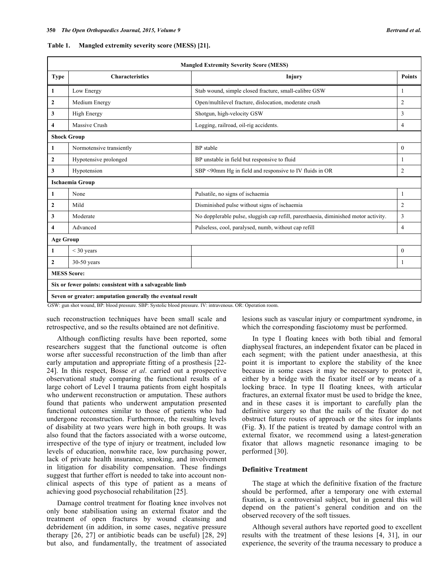| <b>Mangled Extremity Severity Score (MESS)</b>             |                          |                                                                                     |                |
|------------------------------------------------------------|--------------------------|-------------------------------------------------------------------------------------|----------------|
| <b>Type</b>                                                | <b>Characteristics</b>   | Injury                                                                              | <b>Points</b>  |
| 1                                                          | Low Energy               | Stab wound, simple closed fracture, small-calibre GSW                               | 1              |
| 2                                                          | Medium Energy            | Open/multilevel fracture, dislocation, moderate crush                               | $\overline{2}$ |
| 3                                                          | <b>High Energy</b>       | Shotgun, high-velocity GSW                                                          | 3              |
| 4                                                          | Massive Crush            | Logging, railroad, oil-rig accidents.                                               | 4              |
| <b>Shock Group</b>                                         |                          |                                                                                     |                |
| 1                                                          | Normotensive transiently | BP stable                                                                           | $\Omega$       |
| 2                                                          | Hypotensive prolonged    | BP unstable in field but responsive to fluid                                        |                |
| 3                                                          | Hypotension              | SBP <90mm Hg in field and responsive to IV fluids in OR                             | $\overline{2}$ |
| Ischaemia Group                                            |                          |                                                                                     |                |
| 1                                                          | None                     | Pulsatile, no signs of ischaemia                                                    | 1              |
| 2                                                          | Mild                     | Disminished pulse without signs of ischaemia                                        | $\overline{2}$ |
| 3                                                          | Moderate                 | No dopplerable pulse, sluggish cap refill, paresthaesia, diminished motor activity. | 3              |
| 4                                                          | Advanced                 | Pulseless, cool, paralysed, numb, without cap refill                                | $\overline{4}$ |
| <b>Age Group</b>                                           |                          |                                                                                     |                |
| 1                                                          | $<$ 30 years             |                                                                                     | $\Omega$       |
| $\mathbf{2}$                                               | $30-50$ years            |                                                                                     | 1              |
| <b>MESS Score:</b>                                         |                          |                                                                                     |                |
| Six or fewer points: consistent with a salvageable limb    |                          |                                                                                     |                |
| Seven or greater: amputation generally the eventual result |                          |                                                                                     |                |

GSW: gun shot wound, BP: blood pressure. SBP: Systolic blood pressure. IV: intravenous. OR: Operation room.

such reconstruction techniques have been small scale and retrospective, and so the results obtained are not definitive.

Although conflicting results have been reported, some researchers suggest that the functional outcome is often worse after successful reconstruction of the limb than after early amputation and appropriate fitting of a prosthesis [22- 24]. In this respect, Bosse *et al*. carried out a prospective observational study comparing the functional results of a large cohort of Level I trauma patients from eight hospitals who underwent reconstruction or amputation. These authors found that patients who underwent amputation presented functional outcomes similar to those of patients who had undergone reconstruction. Furthermore, the resulting levels of disability at two years were high in both groups. It was also found that the factors associated with a worse outcome, irrespective of the type of injury or treatment, included low levels of education, nonwhite race, low purchasing power, lack of private health insurance, smoking, and involvement in litigation for disability compensation. These findings suggest that further effort is needed to take into account nonclinical aspects of this type of patient as a means of achieving good psychosocial rehabilitation [25].

Damage control treatment for floating knee involves not only bone stabilisation using an external fixator and the treatment of open fractures by wound cleansing and debridement (in addition, in some cases, negative pressure therapy [26, 27] or antibiotic beads can be useful) [28, 29] but also, and fundamentally, the treatment of associated

lesions such as vascular injury or compartment syndrome, in which the corresponding fasciotomy must be performed.

In type I floating knees with both tibial and femoral diaphyseal fractures, an independent fixator can be placed in each segment; with the patient under anaesthesia, at this point it is important to explore the stability of the knee because in some cases it may be necessary to protect it, either by a bridge with the fixator itself or by means of a locking brace. In type II floating knees, with articular fractures, an external fixator must be used to bridge the knee, and in these cases it is important to carefully plan the definitive surgery so that the nails of the fixator do not obstruct future routes of approach or the sites for implants (Fig. **3**). If the patient is treated by damage control with an external fixator, we recommend using a latest-generation fixator that allows magnetic resonance imaging to be performed [30].

## **Definitive Treatment**

The stage at which the definitive fixation of the fracture should be performed, after a temporary one with external fixation, is a controversial subject, but in general this will depend on the patient's general condition and on the observed recovery of the soft tissues.

Although several authors have reported good to excellent results with the treatment of these lesions [4, 31], in our experience, the severity of the trauma necessary to produce a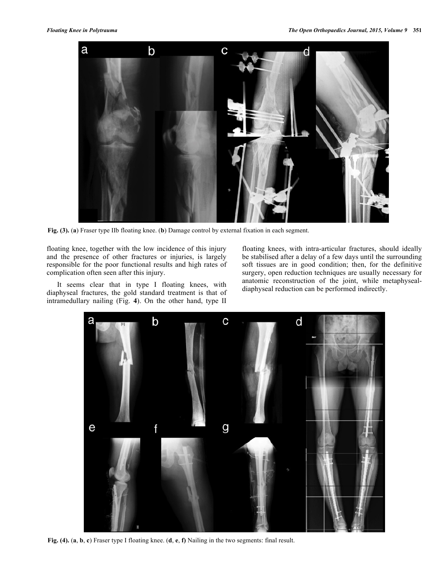

**Fig. (3).** (**a**) Fraser type IIb floating knee. (**b**) Damage control by external fixation in each segment.

floating knee, together with the low incidence of this injury and the presence of other fractures or injuries, is largely responsible for the poor functional results and high rates of complication often seen after this injury.

It seems clear that in type I floating knees, with diaphyseal fractures, the gold standard treatment is that of intramedullary nailing (Fig. **4**). On the other hand, type II

floating knees, with intra-articular fractures, should ideally be stabilised after a delay of a few days until the surrounding soft tissues are in good condition; then, for the definitive surgery, open reduction techniques are usually necessary for anatomic reconstruction of the joint, while metaphysealdiaphyseal reduction can be performed indirectly.



**Fig. (4).** (**a**, **b**, **c**) Fraser type I floating knee. (**d**, **e**, **f)** Nailing in the two segments: final result.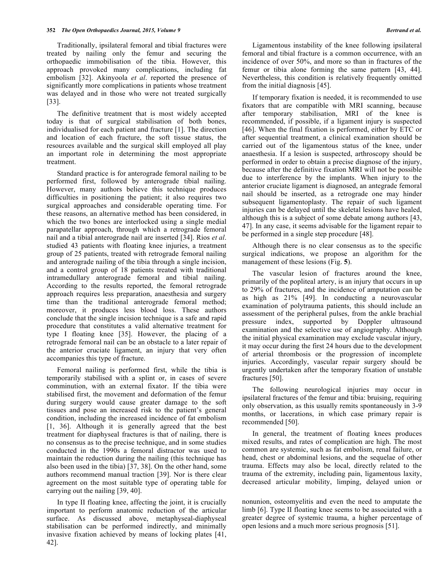Traditionally, ipsilateral femoral and tibial fractures were treated by nailing only the femur and securing the orthopaedic immobilisation of the tibia. However, this approach provoked many complications, including fat embolism [32]. Akinyoola *et al*. reported the presence of significantly more complications in patients whose treatment was delayed and in those who were not treated surgically [33].

The definitive treatment that is most widely accepted today is that of surgical stabilisation of both bones, individualised for each patient and fracture [1]. The direction and location of each fracture, the soft tissue status, the resources available and the surgical skill employed all play an important role in determining the most appropriate treatment.

Standard practice is for anterograde femoral nailing to be performed first, followed by anterograde tibial nailing. However, many authors believe this technique produces difficulties in positioning the patient; it also requires two surgical approaches and considerable operating time. For these reasons, an alternative method has been considered, in which the two bones are interlocked using a single medial parapatellar approach, through which a retrograde femoral nail and a tibial anterograde nail are inserted [34]. Rios *et al*. studied 43 patients with floating knee injuries, a treatment group of 25 patients, treated with retrograde femoral nailing and anterograde nailing of the tibia through a single incision, and a control group of 18 patients treated with traditional intramedullary anterograde femoral and tibial nailing. According to the results reported, the femoral retrograde approach requires less preparation, anaesthesia and surgery time than the traditional anterograde femoral method; moreover, it produces less blood loss. These authors conclude that the single incision technique is a safe and rapid procedure that constitutes a valid alternative treatment for type I floating knee [35]. However, the placing of a retrograde femoral nail can be an obstacle to a later repair of the anterior cruciate ligament, an injury that very often accompanies this type of fracture.

Femoral nailing is performed first, while the tibia is temporarily stabilised with a splint or, in cases of severe comminution, with an external fixator. If the tibia were stabilised first, the movement and deformation of the femur during surgery would cause greater damage to the soft tissues and pose an increased risk to the patient's general condition, including the increased incidence of fat embolism [1, 36]. Although it is generally agreed that the best treatment for diaphyseal fractures is that of nailing, there is no consensus as to the precise technique, and in some studies conducted in the 1990s a femoral distractor was used to maintain the reduction during the nailing (this technique has also been used in the tibia) [37, 38]. On the other hand, some authors recommend manual traction [39]. Nor is there clear agreement on the most suitable type of operating table for carrying out the nailing [39, 40].

In type II floating knee, affecting the joint, it is crucially important to perform anatomic reduction of the articular surface. As discussed above, metaphyseal-diaphyseal stabilisation can be performed indirectly, and minimally invasive fixation achieved by means of locking plates [41, 42].

If temporary fixation is needed, it is recommended to use fixators that are compatible with MRI scanning, because after temporary stabilisation, MRI of the knee is recommended, if possible, if a ligament injury is suspected [46]. When the final fixation is performed, either by ETC or after sequential treatment, a clinical examination should be carried out of the ligamentous status of the knee, under anaesthesia. If a lesion is suspected, arthroscopy should be performed in order to obtain a precise diagnose of the injury, because after the definitive fixation MRI will not be possible due to interference by the implants. When injury to the anterior cruciate ligament is diagnosed, an antegrade femoral nail should be inserted, as a retrograde one may hinder subsequent ligamentoplasty. The repair of such ligament injuries can be delayed until the skeletal lesions have healed, although this is a subject of some debate among authors [43, 47]. In any case, it seems advisable for the ligament repair to be performed in a single step procedure [48].

from the initial diagnosis [45].

Although there is no clear consensus as to the specific surgical indications, we propose an algorithm for the management of these lesions (Fig. **5**).

The vascular lesion of fractures around the knee, primarily of the popliteal artery, is an injury that occurs in up to 29% of fractures, and the incidence of amputation can be as high as 21% [49]. In conducting a neurovascular examination of polytrauma patients, this should include an assessment of the peripheral pulses, from the ankle brachial pressure index, supported by Doppler ultrasound examination and the selective use of angiography. Although the initial physical examination may exclude vascular injury, it may occur during the first 24 hours due to the development of arterial thrombosis or the progression of incomplete injuries. Accordingly, vascular repair surgery should be urgently undertaken after the temporary fixation of unstable fractures [50].

The following neurological injuries may occur in ipsilateral fractures of the femur and tibia: bruising, requiring only observation, as this usually remits spontaneously in 3-9 months, or lacerations, in which case primary repair is recommended [50].

In general, the treatment of floating knees produces mixed results, and rates of complication are high. The most common are systemic, such as fat embolism, renal failure, or head, chest or abdominal lesions, and the sequelae of other trauma. Effects may also be local, directly related to the trauma of the extremity, including pain, ligamentous laxity, decreased articular mobility, limping, delayed union or

nonunion, osteomyelitis and even the need to amputate the limb [6]. Type II floating knee seems to be associated with a greater degree of systemic trauma, a higher percentage of open lesions and a much more serious prognosis [51].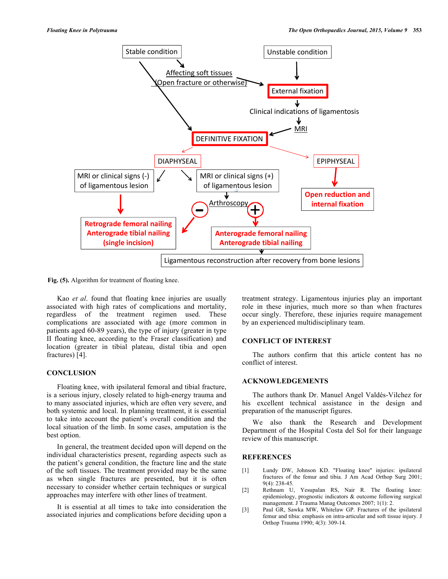

**Fig. (5).** Algorithm for treatment of floating knee.

Kao *et al*. found that floating knee injuries are usually associated with high rates of complications and mortality, regardless of the treatment regimen used. These complications are associated with age (more common in patients aged 60-89 years), the type of injury (greater in type II floating knee, according to the Fraser classification) and location (greater in tibial plateau, distal tibia and open fractures) [4].

# **CONCLUSION**

Floating knee, with ipsilateral femoral and tibial fracture, is a serious injury, closely related to high-energy trauma and to many associated injuries, which are often very severe, and both systemic and local. In planning treatment, it is essential to take into account the patient's overall condition and the local situation of the limb. In some cases, amputation is the best option.

In general, the treatment decided upon will depend on the individual characteristics present, regarding aspects such as the patient's general condition, the fracture line and the state of the soft tissues. The treatment provided may be the same as when single fractures are presented, but it is often necessary to consider whether certain techniques or surgical approaches may interfere with other lines of treatment.

It is essential at all times to take into consideration the associated injuries and complications before deciding upon a

treatment strategy. Ligamentous injuries play an important role in these injuries, much more so than when fractures occur singly. Therefore, these injuries require management by an experienced multidisciplinary team.

### **CONFLICT OF INTEREST**

The authors confirm that this article content has no conflict of interest.

#### **ACKNOWLEDGEMENTS**

The authors thank Dr. Manuel Angel Valdés-Vilchez for his excellent technical assistance in the design and preparation of the manuscript figures.

We also thank the Research and Development Department of the Hospital Costa del Sol for their language review of this manuscript.

#### **REFERENCES**

- [1] Lundy DW, Johnson KD. "Floating knee" injuries: ipsilateral fractures of the femur and tibia. J Am Acad Orthop Surg 2001; 9(4): 238-45.
- [2] Rethnam U, Yesupalan RS, Nair R. The floating knee: epidemiology, prognostic indicators & outcome following surgical management. J Trauma Manag Outcomes 2007; 1(1): 2.
- [3] Paul GR, Sawka MW, Whitelaw GP. Fractures of the ipsilateral femur and tibia: emphasis on intra-articular and soft tissue injury. J Orthop Trauma 1990; 4(3): 309-14.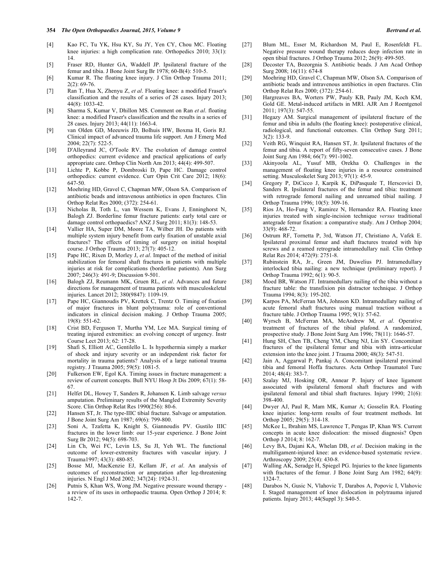- [4] Kao FC, Tu YK, Hsu KY, Su JY, Yen CY, Chou MC. Floating knee injuries: a high complication rate. Orthopedics 2010; 33(1): 14.
- [5] Fraser RD, Hunter GA, Waddell JP. Ipsilateral fracture of the femur and tibia. J Bone Joint Surg Br 1978; 60-B(4): 510-5.
- [6] Kumar R. The floating knee injury. J Clin Orthop Trauma 2011; 2(2): 69-76.
- [7] Ran T, Hua X, Zhenyu Z, *et al*. Floating knee: a modified Fraser's classification and the results of a series of 28 cases. Injury 2013; 44(8): 1033-42.
- [8] Sharma S, Kumar V, Dhillon MS. Comment on Ran *et al*. floating knee: a modified Fraser's classification and the results in a series of 28 cases. Injury 2013; 44(11): 1663-4.
- [9] van Olden GD, Meeuwis JD, Bolhuis HW, Boxma H, Goris RJ. Clinical impact of advanced trauma life support. Am J Emerg Med 2004; 22(7): 522-5.
- [10] D'Alleyrand JC, O'Toole RV. The evolution of damage control orthopedics: current evidence and practical applications of early appropriate care. Orthop Clin North Am 2013; 44(4): 499-507.
- [11] Lichte P, Kobbe P, Dombroski D, Pape HC. Damage control orthopedics: current evidence. Curr Opin Crit Care 2012; 18(6): 647-50.
- [12] Moehring HD, Gravel C, Chapman MW, Olson SA. Comparison of antibiotic beads and intravenous antibiotics in open fractures. Clin Orthop Relat Res 2000; (372): 254-61.
- [13] Nicholas B, Toth L, van Wessem K, Evans J, Enninghorst N, Balogh ZJ. Borderline femur fracture patients: early total care or damage control orthopaedics? ANZ J Surg 2011; 81(3): 148-53.
- [14] Vallier HA, Super DM, Moore TA, Wilber JH. Do patients with multiple system injury benefit from early fixation of unstable axial fractures? The effects of timing of surgery on initial hospital course. J Orthop Trauma 2013; 27(7): 405-12.
- [15] Pape HC, Rixen D, Morley J, *et al*. Impact of the method of initial stabilization for femoral shaft fractures in patients with multiple injuries at risk for complications (borderline patients). Ann Surg 2007; 246(3): 491-9; Discussion 9-501.
- [16] Balogh ZJ, Reumann MK, Gruen RL, *et al*. Advances and future directions for management of trauma patients with musculoskeletal injuries. Lancet 2012; 380(9847): 1109-19.
- [17] Pape HC, Giannoudis PV, Krettek C, Trentz O. Timing of fixation of major fractures in blunt polytrauma: role of conventional indicators in clinical decision making. J Orthop Trauma 2005;  $19(8)$ : 551-62.
- [18] Crist BD, Ferguson T, Murtha YM, Lee MA. Surgical timing of treating injured extremities: an evolving concept of urgency. Instr Course Lect 2013; 62: 17-28.
- [19] Shafi S, Elliott AC, Gentilello L. Is hypothermia simply a marker of shock and injury severity or an independent risk factor for mortality in trauma patients? Analysis of a large national trauma registry. J Trauma 2005; 59(5): 1081-5.
- [20] Fulkerson EW, Egol KA. Timing issues in fracture management: a review of current concepts. Bull NYU Hosp Jt Dis 2009; 67(1): 58- 67.
- [21] Helfet DL, Howey T, Sanders R, Johansen K. Limb salvage *versus* amputation. Preliminary results of the Mangled Extremity Severity Score. Clin Orthop Relat Res 1990(256): 80-6.
- [22] Hansen ST, Jr. The type-IIIC tibial fracture. Salvage or amputation. J Bone Joint Surg Am 1987; 69(6): 799-800.
- [23] Soni A, Tzafetta K, Knight S, Giannoudis PV. Gustilo IIIC fractures in the lower limb: our 15-year experience. J Bone Joint Surg Br 2012; 94(5): 698-703.
- [24] Lin Ch, Wei FC, Levin LS, Su JI, Yeh WL. The functional outcome of lower-extremity fractures with vascular injury. J Trauma1997; 43(3): 480-85.
- [25] Bosse MJ, MacKenzie EJ, Kellam JF, *et al*. An analysis of outcomes of reconstruction or amputation after leg-threatening injuries. N Engl J Med 2002; 347(24): 1924-31.
- [26] Putnis S, Khan WS, Wong JM. Negative pressure wound therapy a review of its uses in orthopaedic trauma. Open Orthop J 2014; 8: 142-7.
- [27] Blum ML, Esser M, Richardson M, Paul E, Rosenfeldt FL. Negative pressure wound therapy reduces deep infection rate in open tibial fractures. J Orthop Trauma 2012; 26(9): 499-505.
- [28] Decoster TA, Bozorgnia S. Antibiotic beads. J Am Acad Orthop Surg 2008; 16(11): 674-8
- [29] Moehring HD, Gravel C, Chapman MW, Olson SA. Comparison of antibiotic beads and intravenous antibiotics in open fractures. Clin Orthop Relat Res 2000; (372): 254-61.
- [30] Hargreaves BA, Worters PW, Pauly KB, Pauly JM, Koch KM, Gold GE. Metal-induced artifacts in MRI. AJR Am J Roentgenol 2011; 197(3): 547-55.
- [31] Hegazy AM. Surgical management of ipsilateral fracture of the femur and tibia in adults (the floating knee): postoperative clinical, radiological, and functional outcomes. Clin Orthop Surg 2011; 3(2): 133-9.
- [32] Veith RG, Winquist RA, Hansen ST, Jr. Ipsilateral fractures of the femur and tibia. A report of fifty-seven consecutive cases. J Bone Joint Surg Am 1984; 66(7): 991-1002.
- [33] Akinyoola AL, Yusuf MB, Orekha O. Challenges in the management of floating knee injuries in a resource constrained setting. Musculoskelet Surg 2013; 97(1): 45-9.
- [34] Gregory P, DiCicco J, Karpik K, DiPasquale T, Herscovici D, Sanders R. Ipsilateral fractures of the femur and tibia: treatment with retrograde femoral nailing and unreamed tibial nailing. J Orthop Trauma 1996; 10(5): 309-16.
- [35] Rios JA, Ho-Fung V, Ramirez N, Hernandez RA. Floating knee injuries treated with single-incision technique *versus* traditional antegrade femur fixation: a comparative study. Am J Orthop 2004; 33(9): 468-72.
- [36] Ostrum RF, Tornetta P, 3rd, Watson JT, Christiano A, Vafek E. Ipsilateral proximal femur and shaft fractures treated with hip screws and a reamed retrograde intramedullary nail. Clin Orthop Relat Res 2014; 472(9): 2751-8.
- [37] Rubinstein RA, Jr., Green JM, Duwelius PJ. Intramedullary interlocked tibia nailing: a new technique (preliminary report). J Orthop Trauma 1992; 6(1): 90-5.
- [38] Moed BR, Watson JT. Intramedullary nailing of the tibia without a fracture table: the transfixion pin distractor technique. J Orthop Trauma 1994; 8(3): 195-202.
- [39] Karpos PA, McFerran MA, Johnson KD. Intramedullary nailing of acute femoral shaft fractures using manual traction without a fracture table. J Orthop Trauma 1995; 9(1): 57-62.
- [40] Wyrsch B, McFerran MA, McAndrew M, *et al*. Operative treatment of fractures of the tibial plafond. A randomized, prospective study. J Bone Joint Surg Am 1996; 78(11): 1646-57.
- [41] Hung SH, Chen TB, Cheng YM, Cheng NJ, Lin SY. Concomitant fractures of the ipsilateral femur and tibia with intra-articular extension into the knee joint. J Trauma 2000; 48(3): 547-51.
- [42] Jain A, Aggarwal P, Pankaj A. Concomitant ipsilateral proximal tibia and femoral Hoffa fractures. Acta Orthop Traumatol Turc 2014; 48(4): 383-7.
- [43] Szalay MJ, Hosking OR, Annear P. Injury of knee ligament associated with ipsilateral femoral shaft fractures and with ipsilateral femoral and tibial shaft fractures. Injury 1990; 21(6): 398-400.
- [44] Dwyer AJ, Paul R, Mam MK, Kumar A; Gosselin RA. Floating knee injuries: long-term results of four treatment methods. Int Orthop 2005; 29(5): 314-18.
- [45] McKee L, Ibrahim MS, Lawrence T, Pengas IP, Khan WS. Current concepts in acute knee dislocation: the missed diagnosis? Open Orthop J 2014; 8: 162-7.
- [46] Levy BA, Dajani KA, Whelan DB, *et al*. Decision making in the multiligament-injured knee: an evidence-based systematic review. Arthroscopy 2009; 25(4): 430-8.
- [47] Walling AK, Seradge H, Spiegel PG. Injuries to the knee ligaments with fractures of the femur. J Bone Joint Surg Am 1982; 64(9): 1324-7.
- [48] Darabos N, Gusic N, Vlahovic T, Darabos A, Popovic I, Vlahovic I. Staged management of knee dislocation in polytrauma injured patients. Injury 2013; 44(Suppl 3): S40-5.